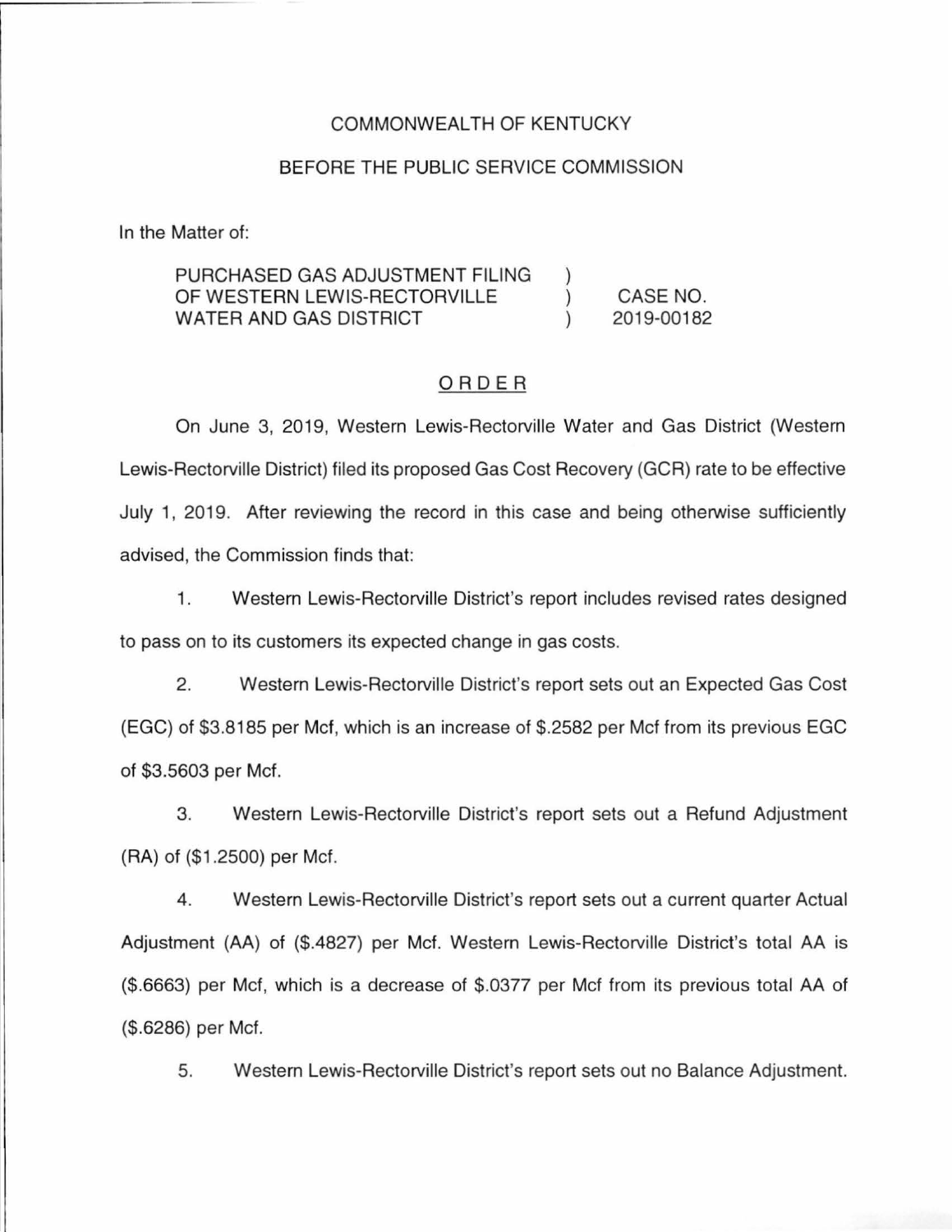#### COMMONWEALTH OF KENTUCKY

#### BEFORE THE PUBLIC SERVICE COMMISSION

In the Matter of:

#### PURCHASED GAS ADJUSTMENT FILING OF WESTERN LEWIS-RECTORVILLE CASE NO.  $\mathcal{E}$ WATER AND GAS DISTRICT 2019-00182

## ORDER

On June 3, 2019, Western Lewis-Rectorville Water and Gas District (Western Lewis-Rectorville District) filed its proposed Gas Cost Recovery (GCR) rate to be effective July 1, 2019. After reviewing the record in this case and being otherwise sufficiently advised, the Commission finds that:

1. Western Lewis-Rectorville District's report includes revised rates designed to pass on to its customers its expected change in gas costs.

2. Western Lewis-Rectorville District's report sets out an Expected Gas Cost (EGC) of \$3.8185 per Met, which is an increase of \$.2582 per Mcf from its previous EGC of \$3.5603 per Met.

3. Western Lewis-Rectorville District's report sets out a Refund Adjustment (RA) of (\$1 .2500) per Met.

4. Western Lewis-Rectorville District's report sets out a current quarter Actual Adjustment (AA) of (\$.4827) per Met. Western Lewis-Rectorville District's total AA is (\$.6663) per Met, which is a decrease of \$.0377 per Met from its previous total AA of (\$.6286) per Met.

5. Western Lewis-Rectorville District's report sets out no Balance Adjustment.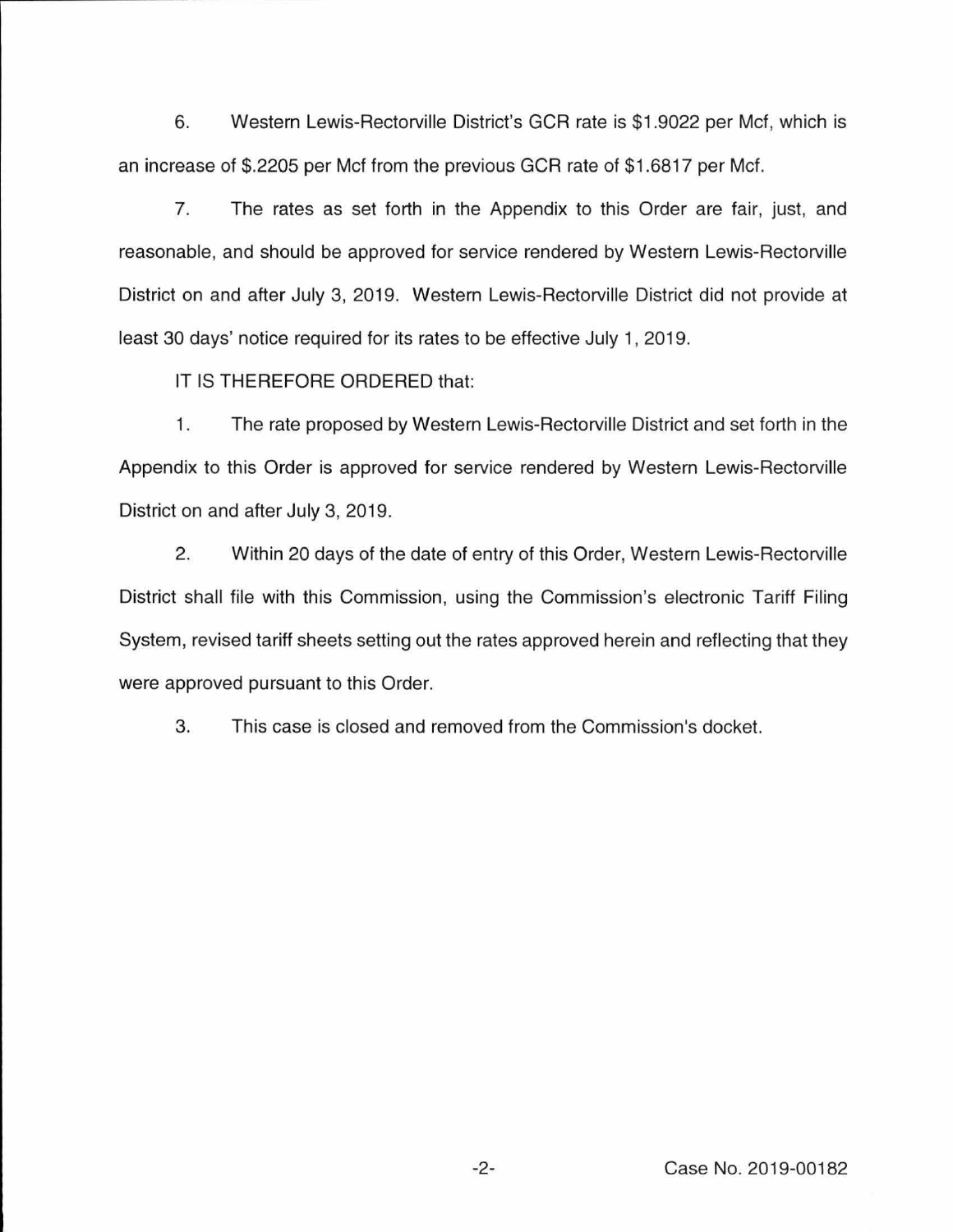6. Western Lewis-Rectorville District's GCR rate is \$1.9022 per Mcf, which is an increase of \$.2205 per Mcf from the previous GCR rate of \$1.6817 per Mcf.

7. The rates as set forth in the Appendix to this Order are fair, just, and reasonable, and should be approved for service rendered by Western Lewis-Rectorville District on and after July 3, 2019. Western Lewis-Rectorville District did not provide at least 30 days' notice required for its rates to be effective July 1, 2019.

IT IS THEREFORE ORDERED that:

1. The rate proposed by Western Lewis-Rectorville District and set forth in the Appendix to this Order is approved for service rendered by Western Lewis-Rectorville District on and after July 3, 2019.

2. Within 20 days of the date of entry of this Order, Western Lewis-Rectorville District shall file with this Commission, using the Commission's electronic Tariff Filing System, revised tariff sheets setting out the rates approved herein and reflecting that they were approved pursuant to this Order.

3. This case is closed and removed from the Commission's docket.

-2- Case No. 2019-00182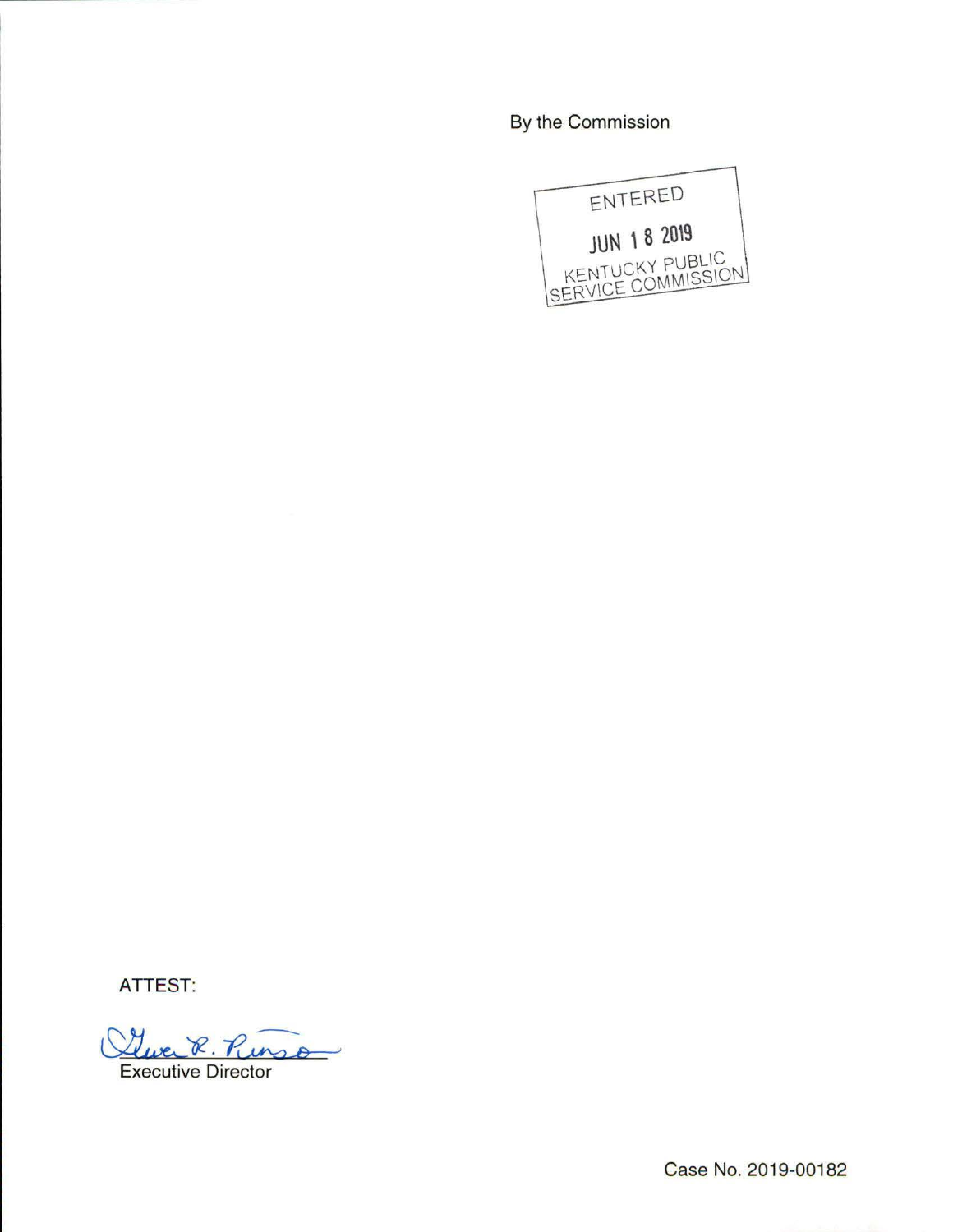By the Commission



**ATTEST:** 

Gever R. R

**Executive Director** 

Case No. 2019-00182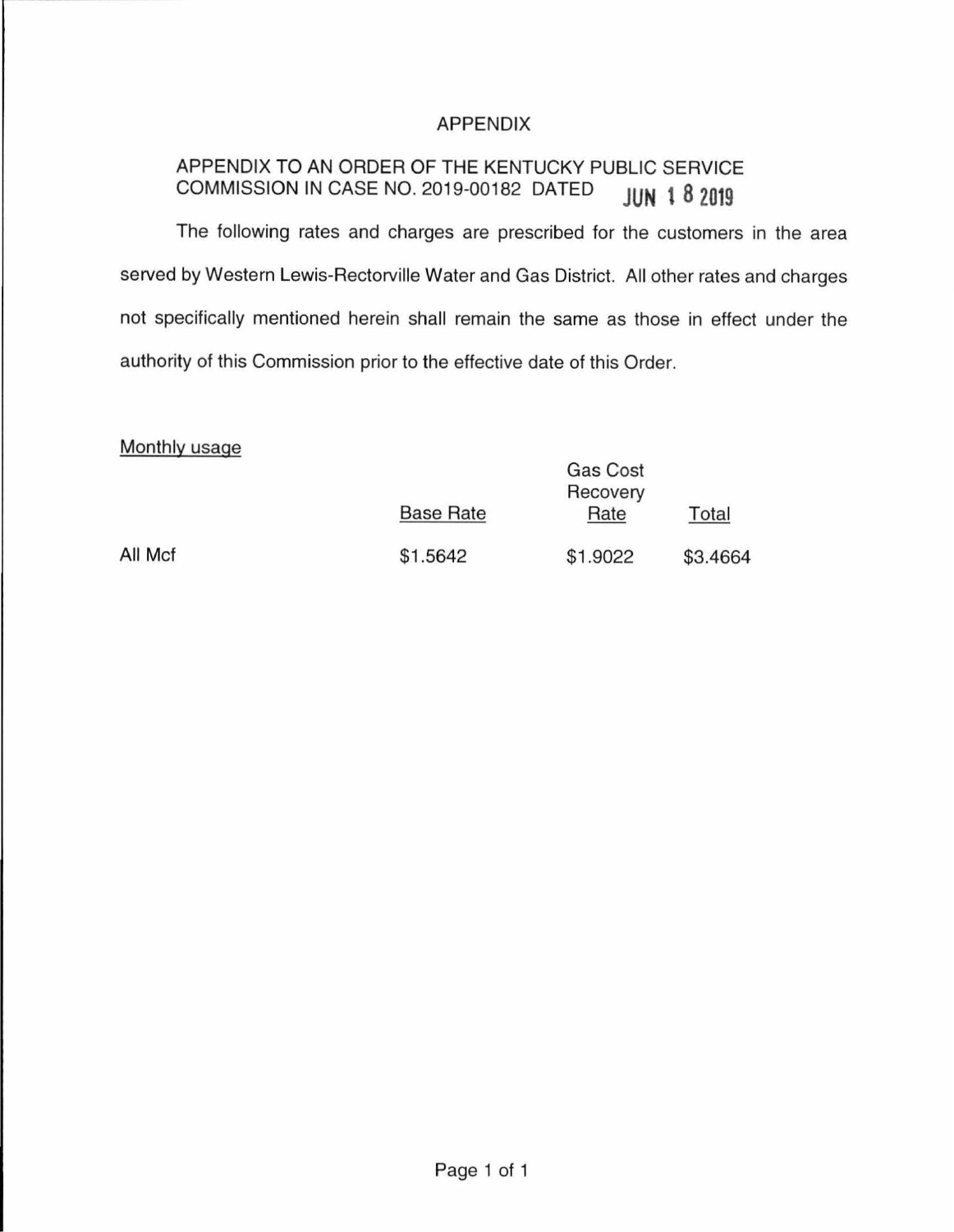# APPENDIX

# APPENDIX TO AN ORDER OF THE KENTUCKY PUBLIC SERVICE COMMISSION IN CASE NO. 2019-00182 DATED **JUN 1 8 2019**

The following rates and charges are prescribed for the customers in the area served by Western Lewis-Rectorville Water and Gas District. All other rates and charges not specifically mentioned herein shall remain the same as those in effect under the authority of this Commission prior to the effective date of this Order.

## Monthly usage

|         | <b>Base Rate</b> | Gas Cost<br>Recovery<br>Rate | Total    |
|---------|------------------|------------------------------|----------|
| All Mcf | \$1.5642         | \$1.9022                     | \$3.4664 |